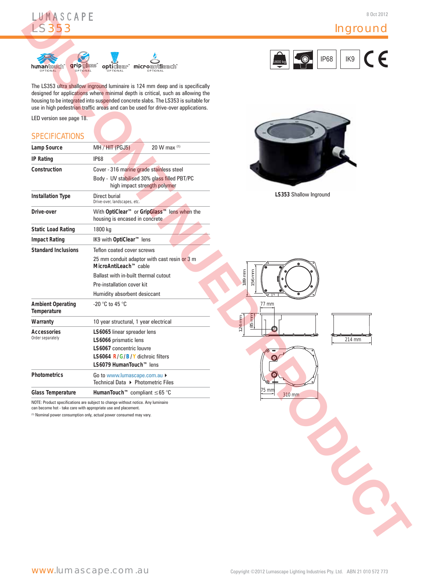

 $IP68$  |  $IK9$ 



The LS353 ultra shallow inground luminaire is 124 mm deep and is specifically designed for applications where minimal depth is critical, such as allowing the housing to be integrated into suspended concrete slabs. The LS353 is suitable for use in high pedestrian traffic areas and can be used for drive-over applications.

LED version see page 18.

### **SPECIFICATIONS**

| Lamp Source                             | 20 W max (1)<br>MH / HIT (PGJ5)                                                           |  |  |  |  |  |
|-----------------------------------------|-------------------------------------------------------------------------------------------|--|--|--|--|--|
| <b>IP Rating</b>                        | <b>IP68</b>                                                                               |  |  |  |  |  |
| Construction                            | Cover - 316 marine grade stainless steel                                                  |  |  |  |  |  |
|                                         | Body - UV stabilised 30% glass filled PBT/PC<br>high impact strength polymer              |  |  |  |  |  |
| <b>Installation Type</b>                | Direct burial<br>Drive-over, landscapes, etc.                                             |  |  |  |  |  |
| Drive-over                              | With OptiClear <sup>™</sup> or GripGlass™ lens when the<br>housing is encased in concrete |  |  |  |  |  |
| <b>Static Load Rating</b>               | 1800 kg                                                                                   |  |  |  |  |  |
| <b>Impact Rating</b>                    | IK9 with OptiClear™ lens                                                                  |  |  |  |  |  |
| <b>Standard Inclusions</b>              | Teflon coated cover screws                                                                |  |  |  |  |  |
|                                         | 25 mm conduit adaptor with cast resin or 3 m<br>MicroAntiLeach™ cable                     |  |  |  |  |  |
|                                         | Ballast with in-built thermal cutout                                                      |  |  |  |  |  |
|                                         | Pre-installation cover kit                                                                |  |  |  |  |  |
|                                         | Humidity absorbent desiccant                                                              |  |  |  |  |  |
| <b>Ambient Operating</b><br>Temperature | -20 °C to 45 °C                                                                           |  |  |  |  |  |
| Warranty                                | 10 year structural, 1 year electrical                                                     |  |  |  |  |  |
| <b>Accessories</b>                      | LS6065 linear spreader lens                                                               |  |  |  |  |  |
| Order separately                        | LS6066 prismatic lens                                                                     |  |  |  |  |  |
|                                         | LS6067 concentric louvre                                                                  |  |  |  |  |  |
|                                         | LS6064 R/G/B/Y dichroic filters                                                           |  |  |  |  |  |
|                                         | LS6079 HumanTouch™ lens                                                                   |  |  |  |  |  |
| <b>Photometrics</b>                     | Go to www.lumascape.com.au ▶<br>Technical Data ▶ Photometric Files                        |  |  |  |  |  |
| <b>Glass Temperature</b>                | HumanTouch <sup>™</sup> compliant $\leq 65$ °C                                            |  |  |  |  |  |
| $10T - 1$                               | the contract of the con-                                                                  |  |  |  |  |  |



can become hot - take care with appropriate use and placement.

(1) Nominal power consumption only, actual power consumed may vary.



1800 kg

**LS353** Shallow Inground

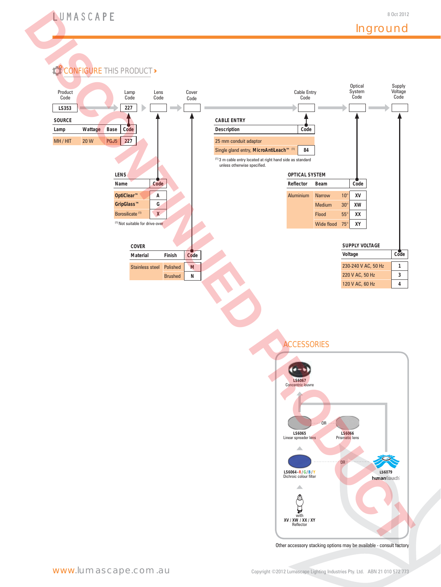# **CONFIGURE THIS PRODUCT**



Other accessory stacking options may be available - consult factory